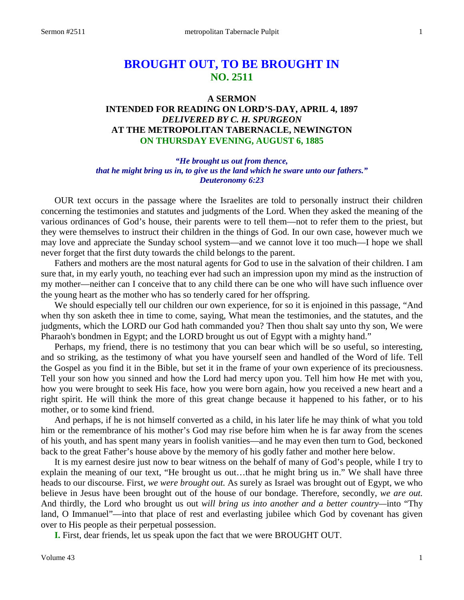# **BROUGHT OUT, TO BE BROUGHT IN NO. 2511**

#### **A SERMON**

## **INTENDED FOR READING ON LORD'S-DAY, APRIL 4, 1897** *DELIVERED BY C. H. SPURGEON* **AT THE METROPOLITAN TABERNACLE, NEWINGTON ON THURSDAY EVENING, AUGUST 6, 1885**

## *"He brought us out from thence, that he might bring us in, to give us the land which he sware unto our fathers." Deuteronomy 6:23*

OUR text occurs in the passage where the Israelites are told to personally instruct their children concerning the testimonies and statutes and judgments of the Lord. When they asked the meaning of the various ordinances of God's house, their parents were to tell them—not to refer them to the priest, but they were themselves to instruct their children in the things of God. In our own case, however much we may love and appreciate the Sunday school system—and we cannot love it too much—I hope we shall never forget that the first duty towards the child belongs to the parent.

Fathers and mothers are the most natural agents for God to use in the salvation of their children. I am sure that, in my early youth, no teaching ever had such an impression upon my mind as the instruction of my mother—neither can I conceive that to any child there can be one who will have such influence over the young heart as the mother who has so tenderly cared for her offspring.

We should especially tell our children our own experience, for so it is enjoined in this passage, "And when thy son asketh thee in time to come, saying, What mean the testimonies, and the statutes, and the judgments, which the LORD our God hath commanded you? Then thou shalt say unto thy son, We were Pharaoh's bondmen in Egypt; and the LORD brought us out of Egypt with a mighty hand."

Perhaps, my friend, there is no testimony that you can bear which will be so useful, so interesting, and so striking, as the testimony of what you have yourself seen and handled of the Word of life. Tell the Gospel as you find it in the Bible, but set it in the frame of your own experience of its preciousness. Tell your son how you sinned and how the Lord had mercy upon you. Tell him how He met with you, how you were brought to seek His face, how you were born again, how you received a new heart and a right spirit. He will think the more of this great change because it happened to his father, or to his mother, or to some kind friend.

And perhaps, if he is not himself converted as a child, in his later life he may think of what you told him or the remembrance of his mother's God may rise before him when he is far away from the scenes of his youth, and has spent many years in foolish vanities—and he may even then turn to God, beckoned back to the great Father's house above by the memory of his godly father and mother here below.

It is my earnest desire just now to bear witness on the behalf of many of God's people, while I try to explain the meaning of our text, "He brought us out…that he might bring us in." We shall have three heads to our discourse. First, *we were brought out.* As surely as Israel was brought out of Egypt, we who believe in Jesus have been brought out of the house of our bondage. Therefore, secondly, *we are out.* And thirdly, the Lord who brought us out *will bring us into another and a better country—*into "Thy land, O Immanuel"—into that place of rest and everlasting jubilee which God by covenant has given over to His people as their perpetual possession.

**I.** First, dear friends, let us speak upon the fact that we were BROUGHT OUT.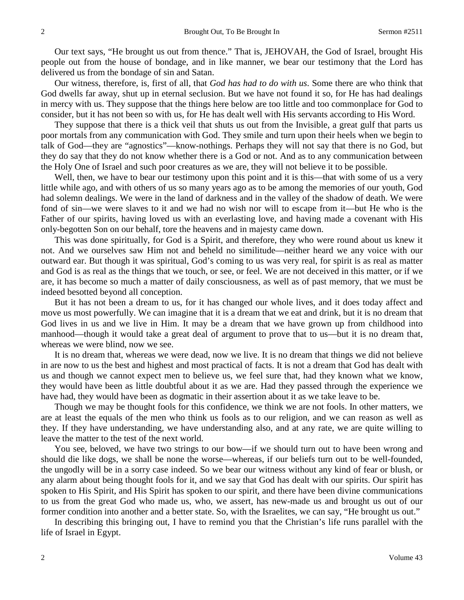Our text says, "He brought us out from thence." That is, JEHOVAH, the God of Israel, brought His people out from the house of bondage, and in like manner, we bear our testimony that the Lord has delivered us from the bondage of sin and Satan.

Our witness, therefore, is, first of all, that *God has had to do with us*. Some there are who think that God dwells far away, shut up in eternal seclusion. But we have not found it so, for He has had dealings in mercy with us. They suppose that the things here below are too little and too commonplace for God to consider, but it has not been so with us, for He has dealt well with His servants according to His Word.

They suppose that there is a thick veil that shuts us out from the Invisible, a great gulf that parts us poor mortals from any communication with God. They smile and turn upon their heels when we begin to talk of God—they are "agnostics"—know-nothings. Perhaps they will not say that there is no God, but they do say that they do not know whether there is a God or not. And as to any communication between the Holy One of Israel and such poor creatures as we are, they will not believe it to be possible.

Well, then, we have to bear our testimony upon this point and it is this—that with some of us a very little while ago, and with others of us so many years ago as to be among the memories of our youth, God had solemn dealings. We were in the land of darkness and in the valley of the shadow of death. We were fond of sin—we were slaves to it and we had no wish nor will to escape from it—but He who is the Father of our spirits, having loved us with an everlasting love, and having made a covenant with His only-begotten Son on our behalf, tore the heavens and in majesty came down.

This was done spiritually, for God is a Spirit, and therefore, they who were round about us knew it not. And we ourselves saw Him not and beheld no similitude—neither heard we any voice with our outward ear. But though it was spiritual, God's coming to us was very real, for spirit is as real as matter and God is as real as the things that we touch, or see, or feel. We are not deceived in this matter, or if we are, it has become so much a matter of daily consciousness, as well as of past memory, that we must be indeed besotted beyond all conception.

But it has not been a dream to us, for it has changed our whole lives, and it does today affect and move us most powerfully. We can imagine that it is a dream that we eat and drink, but it is no dream that God lives in us and we live in Him. It may be a dream that we have grown up from childhood into manhood—though it would take a great deal of argument to prove that to us—but it is no dream that, whereas we were blind, now we see.

It is no dream that, whereas we were dead, now we live. It is no dream that things we did not believe in are now to us the best and highest and most practical of facts. It is not a dream that God has dealt with us and though we cannot expect men to believe us, we feel sure that, had they known what we know, they would have been as little doubtful about it as we are. Had they passed through the experience we have had, they would have been as dogmatic in their assertion about it as we take leave to be.

Though we may be thought fools for this confidence, we think we are not fools. In other matters, we are at least the equals of the men who think us fools as to our religion, and we can reason as well as they. If they have understanding, we have understanding also, and at any rate, we are quite willing to leave the matter to the test of the next world.

You see, beloved, we have two strings to our bow—if we should turn out to have been wrong and should die like dogs, we shall be none the worse—whereas, if our beliefs turn out to be well-founded, the ungodly will be in a sorry case indeed. So we bear our witness without any kind of fear or blush, or any alarm about being thought fools for it, and we say that God has dealt with our spirits. Our spirit has spoken to His Spirit, and His Spirit has spoken to our spirit, and there have been divine communications to us from the great God who made us, who, we assert, has new-made us and brought us out of our former condition into another and a better state. So, with the Israelites, we can say, "He brought us out."

In describing this bringing out, I have to remind you that the Christian's life runs parallel with the life of Israel in Egypt.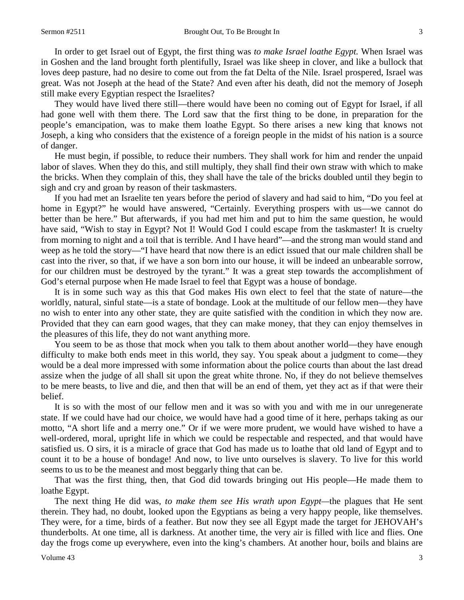In order to get Israel out of Egypt, the first thing was *to make Israel loathe Egypt.* When Israel was in Goshen and the land brought forth plentifully, Israel was like sheep in clover, and like a bullock that loves deep pasture, had no desire to come out from the fat Delta of the Nile. Israel prospered, Israel was great. Was not Joseph at the head of the State? And even after his death, did not the memory of Joseph still make every Egyptian respect the Israelites?

They would have lived there still—there would have been no coming out of Egypt for Israel, if all had gone well with them there. The Lord saw that the first thing to be done, in preparation for the people's emancipation, was to make them loathe Egypt. So there arises a new king that knows not Joseph, a king who considers that the existence of a foreign people in the midst of his nation is a source of danger.

He must begin, if possible, to reduce their numbers. They shall work for him and render the unpaid labor of slaves. When they do this, and still multiply, they shall find their own straw with which to make the bricks. When they complain of this, they shall have the tale of the bricks doubled until they begin to sigh and cry and groan by reason of their taskmasters.

If you had met an Israelite ten years before the period of slavery and had said to him, "Do you feel at home in Egypt?" he would have answered, "Certainly. Everything prospers with us—we cannot do better than be here." But afterwards, if you had met him and put to him the same question, he would have said, "Wish to stay in Egypt? Not I! Would God I could escape from the taskmaster! It is cruelty from morning to night and a toil that is terrible. And I have heard"—and the strong man would stand and weep as he told the story—"I have heard that now there is an edict issued that our male children shall be cast into the river, so that, if we have a son born into our house, it will be indeed an unbearable sorrow, for our children must be destroyed by the tyrant." It was a great step towards the accomplishment of God's eternal purpose when He made Israel to feel that Egypt was a house of bondage.

It is in some such way as this that God makes His own elect to feel that the state of nature—the worldly, natural, sinful state—is a state of bondage. Look at the multitude of our fellow men—they have no wish to enter into any other state, they are quite satisfied with the condition in which they now are. Provided that they can earn good wages, that they can make money, that they can enjoy themselves in the pleasures of this life, they do not want anything more.

You seem to be as those that mock when you talk to them about another world—they have enough difficulty to make both ends meet in this world, they say. You speak about a judgment to come—they would be a deal more impressed with some information about the police courts than about the last dread assize when the judge of all shall sit upon the great white throne. No, if they do not believe themselves to be mere beasts, to live and die, and then that will be an end of them, yet they act as if that were their belief.

It is so with the most of our fellow men and it was so with you and with me in our unregenerate state. If we could have had our choice, we would have had a good time of it here, perhaps taking as our motto, "A short life and a merry one." Or if we were more prudent, we would have wished to have a well-ordered, moral, upright life in which we could be respectable and respected, and that would have satisfied us. O sirs, it is a miracle of grace that God has made us to loathe that old land of Egypt and to count it to be a house of bondage! And now, to live unto ourselves is slavery. To live for this world seems to us to be the meanest and most beggarly thing that can be.

That was the first thing, then, that God did towards bringing out His people—He made them to loathe Egypt.

The next thing He did was, *to make them see His wrath upon Egypt—*the plagues that He sent therein. They had, no doubt, looked upon the Egyptians as being a very happy people, like themselves. They were, for a time, birds of a feather. But now they see all Egypt made the target for JEHOVAH's thunderbolts. At one time, all is darkness. At another time, the very air is filled with lice and flies. One day the frogs come up everywhere, even into the king's chambers. At another hour, boils and blains are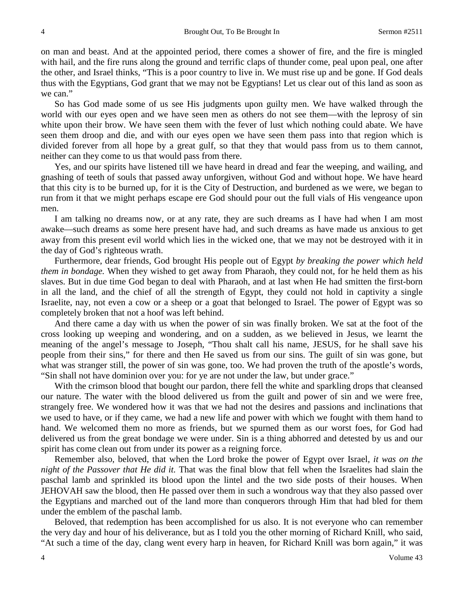on man and beast. And at the appointed period, there comes a shower of fire, and the fire is mingled with hail, and the fire runs along the ground and terrific claps of thunder come, peal upon peal, one after the other, and Israel thinks, "This is a poor country to live in. We must rise up and be gone. If God deals thus with the Egyptians, God grant that we may not be Egyptians! Let us clear out of this land as soon as we can."

So has God made some of us see His judgments upon guilty men. We have walked through the world with our eyes open and we have seen men as others do not see them—with the leprosy of sin white upon their brow. We have seen them with the fever of lust which nothing could abate. We have seen them droop and die, and with our eyes open we have seen them pass into that region which is divided forever from all hope by a great gulf, so that they that would pass from us to them cannot, neither can they come to us that would pass from there.

Yes, and our spirits have listened till we have heard in dread and fear the weeping, and wailing, and gnashing of teeth of souls that passed away unforgiven, without God and without hope. We have heard that this city is to be burned up, for it is the City of Destruction, and burdened as we were, we began to run from it that we might perhaps escape ere God should pour out the full vials of His vengeance upon men.

I am talking no dreams now, or at any rate, they are such dreams as I have had when I am most awake—such dreams as some here present have had, and such dreams as have made us anxious to get away from this present evil world which lies in the wicked one, that we may not be destroyed with it in the day of God's righteous wrath.

Furthermore, dear friends, God brought His people out of Egypt *by breaking the power which held them in bondage.* When they wished to get away from Pharaoh, they could not, for he held them as his slaves. But in due time God began to deal with Pharaoh, and at last when He had smitten the first-born in all the land, and the chief of all the strength of Egypt, they could not hold in captivity a single Israelite, nay, not even a cow or a sheep or a goat that belonged to Israel. The power of Egypt was so completely broken that not a hoof was left behind.

And there came a day with us when the power of sin was finally broken. We sat at the foot of the cross looking up weeping and wondering, and on a sudden, as we believed in Jesus, we learnt the meaning of the angel's message to Joseph, "Thou shalt call his name, JESUS, for he shall save his people from their sins," for there and then He saved us from our sins. The guilt of sin was gone, but what was stranger still, the power of sin was gone, too. We had proven the truth of the apostle's words, "Sin shall not have dominion over you: for ye are not under the law, but under grace."

With the crimson blood that bought our pardon, there fell the white and sparkling drops that cleansed our nature. The water with the blood delivered us from the guilt and power of sin and we were free, strangely free. We wondered how it was that we had not the desires and passions and inclinations that we used to have, or if they came, we had a new life and power with which we fought with them hand to hand. We welcomed them no more as friends, but we spurned them as our worst foes, for God had delivered us from the great bondage we were under. Sin is a thing abhorred and detested by us and our spirit has come clean out from under its power as a reigning force.

Remember also, beloved, that when the Lord broke the power of Egypt over Israel, *it was on the night of the Passover that He did it.* That was the final blow that fell when the Israelites had slain the paschal lamb and sprinkled its blood upon the lintel and the two side posts of their houses. When JEHOVAH saw the blood, then He passed over them in such a wondrous way that they also passed over the Egyptians and marched out of the land more than conquerors through Him that had bled for them under the emblem of the paschal lamb.

Beloved, that redemption has been accomplished for us also. It is not everyone who can remember the very day and hour of his deliverance, but as I told you the other morning of Richard Knill, who said, "At such a time of the day, clang went every harp in heaven, for Richard Knill was born again," it was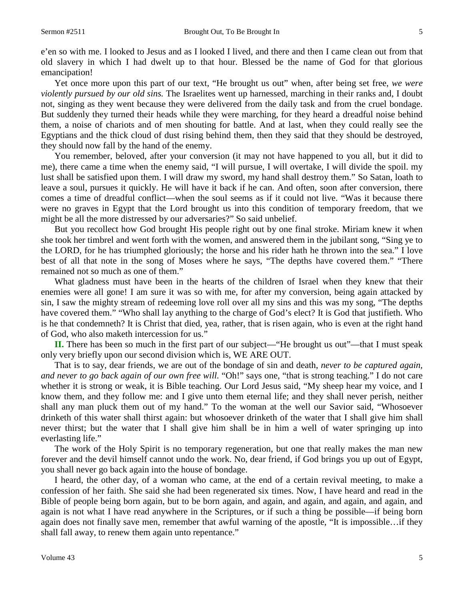e'en so with me. I looked to Jesus and as I looked I lived, and there and then I came clean out from that old slavery in which I had dwelt up to that hour. Blessed be the name of God for that glorious emancipation!

Yet once more upon this part of our text, "He brought us out" when, after being set free, *we were violently pursued by our old sins.* The Israelites went up harnessed, marching in their ranks and, I doubt not, singing as they went because they were delivered from the daily task and from the cruel bondage. But suddenly they turned their heads while they were marching, for they heard a dreadful noise behind them, a noise of chariots and of men shouting for battle. And at last, when they could really see the Egyptians and the thick cloud of dust rising behind them, then they said that they should be destroyed, they should now fall by the hand of the enemy.

You remember, beloved, after your conversion (it may not have happened to you all, but it did to me), there came a time when the enemy said, "I will pursue, I will overtake, I will divide the spoil. my lust shall be satisfied upon them. I will draw my sword, my hand shall destroy them." So Satan, loath to leave a soul, pursues it quickly. He will have it back if he can. And often, soon after conversion, there comes a time of dreadful conflict—when the soul seems as if it could not live. "Was it because there were no graves in Egypt that the Lord brought us into this condition of temporary freedom, that we might be all the more distressed by our adversaries?" So said unbelief.

But you recollect how God brought His people right out by one final stroke. Miriam knew it when she took her timbrel and went forth with the women, and answered them in the jubilant song, "Sing ye to the LORD, for he has triumphed gloriously; the horse and his rider hath he thrown into the sea." I love best of all that note in the song of Moses where he says, "The depths have covered them." "There remained not so much as one of them."

What gladness must have been in the hearts of the children of Israel when they knew that their enemies were all gone! I am sure it was so with me, for after my conversion, being again attacked by sin, I saw the mighty stream of redeeming love roll over all my sins and this was my song, "The depths have covered them." "Who shall lay anything to the charge of God's elect? It is God that justifieth. Who is he that condemneth? It is Christ that died, yea, rather, that is risen again, who is even at the right hand of God, who also maketh intercession for us."

**II.** There has been so much in the first part of our subject—"He brought us out"—that I must speak only very briefly upon our second division which is, WE ARE OUT.

That is to say, dear friends, we are out of the bondage of sin and death, *never to be captured again, and never to go back again of our own free will.* "Oh!" says one, "that is strong teaching." I do not care whether it is strong or weak, it is Bible teaching. Our Lord Jesus said, "My sheep hear my voice, and I know them, and they follow me: and I give unto them eternal life; and they shall never perish, neither shall any man pluck them out of my hand." To the woman at the well our Savior said, "Whosoever drinketh of this water shall thirst again: but whosoever drinketh of the water that I shall give him shall never thirst; but the water that I shall give him shall be in him a well of water springing up into everlasting life."

The work of the Holy Spirit is no temporary regeneration, but one that really makes the man new forever and the devil himself cannot undo the work. No, dear friend, if God brings you up out of Egypt, you shall never go back again into the house of bondage.

I heard, the other day, of a woman who came, at the end of a certain revival meeting, to make a confession of her faith. She said she had been regenerated six times. Now, I have heard and read in the Bible of people being born again, but to be born again, and again, and again, and again, and again, and again is not what I have read anywhere in the Scriptures, or if such a thing be possible—if being born again does not finally save men, remember that awful warning of the apostle, "It is impossible…if they shall fall away, to renew them again unto repentance."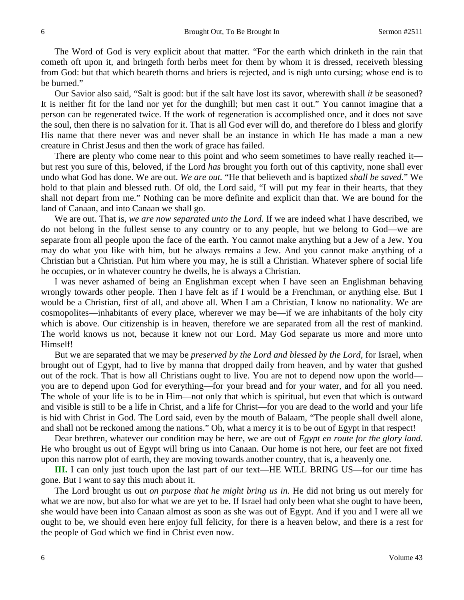The Word of God is very explicit about that matter. "For the earth which drinketh in the rain that cometh oft upon it, and bringeth forth herbs meet for them by whom it is dressed, receiveth blessing from God: but that which beareth thorns and briers is rejected, and is nigh unto cursing; whose end is to be burned."

Our Savior also said, "Salt is good: but if the salt have lost its savor, wherewith shall *it* be seasoned? It is neither fit for the land nor yet for the dunghill; but men cast it out." You cannot imagine that a person can be regenerated twice. If the work of regeneration is accomplished once, and it does not save the soul, then there is no salvation for it. That is all God ever will do, and therefore do I bless and glorify His name that there never was and never shall be an instance in which He has made a man a new creature in Christ Jesus and then the work of grace has failed.

There are plenty who come near to this point and who seem sometimes to have really reached it but rest you sure of this, beloved, if the Lord *has* brought you forth out of this captivity, none shall ever undo what God has done. We are out. *We are out.* "He that believeth and is baptized *shall be saved.*" We hold to that plain and blessed ruth. Of old, the Lord said, "I will put my fear in their hearts, that they shall not depart from me." Nothing can be more definite and explicit than that. We are bound for the land of Canaan, and into Canaan we shall go.

We are out. That is, *we are now separated unto the Lord.* If we are indeed what I have described, we do not belong in the fullest sense to any country or to any people, but we belong to God—we are separate from all people upon the face of the earth. You cannot make anything but a Jew of a Jew. You may do what you like with him, but he always remains a Jew. And you cannot make anything of a Christian but a Christian. Put him where you may, he is still a Christian. Whatever sphere of social life he occupies, or in whatever country he dwells, he is always a Christian.

I was never ashamed of being an Englishman except when I have seen an Englishman behaving wrongly towards other people. Then I have felt as if I would be a Frenchman, or anything else. But I would be a Christian, first of all, and above all. When I am a Christian, I know no nationality. We are cosmopolites—inhabitants of every place, wherever we may be—if we are inhabitants of the holy city which is above. Our citizenship is in heaven, therefore we are separated from all the rest of mankind. The world knows us not, because it knew not our Lord. May God separate us more and more unto Himself!

But we are separated that we may be *preserved by the Lord and blessed by the Lord,* for Israel, when brought out of Egypt, had to live by manna that dropped daily from heaven, and by water that gushed out of the rock. That is how all Christians ought to live. You are not to depend now upon the world you are to depend upon God for everything—for your bread and for your water, and for all you need. The whole of your life is to be in Him—not only that which is spiritual, but even that which is outward and visible is still to be a life in Christ, and a life for Christ—for you are dead to the world and your life is hid with Christ in God. The Lord said, even by the mouth of Balaam, "The people shall dwell alone, and shall not be reckoned among the nations." Oh, what a mercy it is to be out of Egypt in that respect!

Dear brethren, whatever our condition may be here, we are out of *Egypt en route for the glory land.* He who brought us out of Egypt will bring us into Canaan. Our home is not here, our feet are not fixed upon this narrow plot of earth, they are moving towards another country, that is, a heavenly one.

**III.** I can only just touch upon the last part of our text—HE WILL BRING US—for our time has gone. But I want to say this much about it.

The Lord brought us out *on purpose that he might bring us in.* He did not bring us out merely for what we are now, but also for what we are yet to be. If Israel had only been what she ought to have been, she would have been into Canaan almost as soon as she was out of Egypt. And if you and I were all we ought to be, we should even here enjoy full felicity, for there is a heaven below, and there is a rest for the people of God which we find in Christ even now.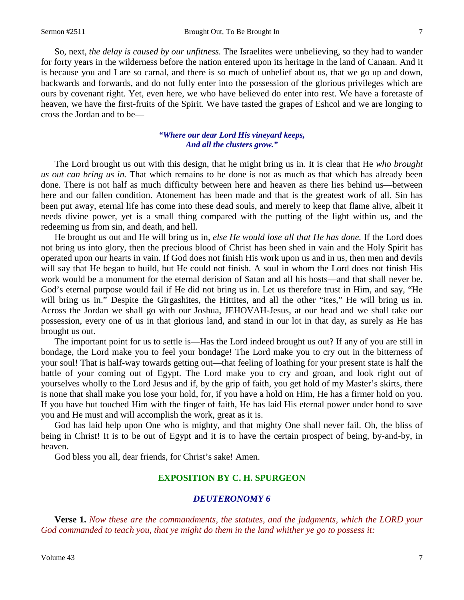So, next, *the delay is caused by our unfitness.* The Israelites were unbelieving, so they had to wander for forty years in the wilderness before the nation entered upon its heritage in the land of Canaan. And it is because you and I are so carnal, and there is so much of unbelief about us, that we go up and down, backwards and forwards, and do not fully enter into the possession of the glorious privileges which are ours by covenant right. Yet, even here, we who have believed do enter into rest. We have a foretaste of heaven, we have the first-fruits of the Spirit. We have tasted the grapes of Eshcol and we are longing to cross the Jordan and to be—

## *"Where our dear Lord His vineyard keeps, And all the clusters grow."*

The Lord brought us out with this design, that he might bring us in. It is clear that He *who brought us out can bring us in.* That which remains to be done is not as much as that which has already been done. There is not half as much difficulty between here and heaven as there lies behind us—between here and our fallen condition. Atonement has been made and that is the greatest work of all. Sin has been put away, eternal life has come into these dead souls, and merely to keep that flame alive, albeit it needs divine power, yet is a small thing compared with the putting of the light within us, and the redeeming us from sin, and death, and hell.

He brought us out and He will bring us in, *else He would lose all that He has done.* If the Lord does not bring us into glory, then the precious blood of Christ has been shed in vain and the Holy Spirit has operated upon our hearts in vain. If God does not finish His work upon us and in us, then men and devils will say that He began to build, but He could not finish. A soul in whom the Lord does not finish His work would be a monument for the eternal derision of Satan and all his hosts—and that shall never be. God's eternal purpose would fail if He did not bring us in. Let us therefore trust in Him, and say, "He will bring us in." Despite the Girgashites, the Hittites, and all the other "ites," He will bring us in. Across the Jordan we shall go with our Joshua, JEHOVAH-Jesus, at our head and we shall take our possession, every one of us in that glorious land, and stand in our lot in that day, as surely as He has brought us out.

The important point for us to settle is—Has the Lord indeed brought us out? If any of you are still in bondage, the Lord make you to feel your bondage! The Lord make you to cry out in the bitterness of your soul! That is half-way towards getting out—that feeling of loathing for your present state is half the battle of your coming out of Egypt. The Lord make you to cry and groan, and look right out of yourselves wholly to the Lord Jesus and if, by the grip of faith, you get hold of my Master's skirts, there is none that shall make you lose your hold, for, if you have a hold on Him, He has a firmer hold on you. If you have but touched Him with the finger of faith, He has laid His eternal power under bond to save you and He must and will accomplish the work, great as it is.

God has laid help upon One who is mighty, and that mighty One shall never fail. Oh, the bliss of being in Christ! It is to be out of Egypt and it is to have the certain prospect of being, by-and-by, in heaven.

God bless you all, dear friends, for Christ's sake! Amen.

#### **EXPOSITION BY C. H. SPURGEON**

#### *DEUTERONOMY 6*

**Verse 1.** *Now these are the commandments, the statutes, and the judgments, which the LORD your God commanded to teach you, that ye might do them in the land whither ye go to possess it:*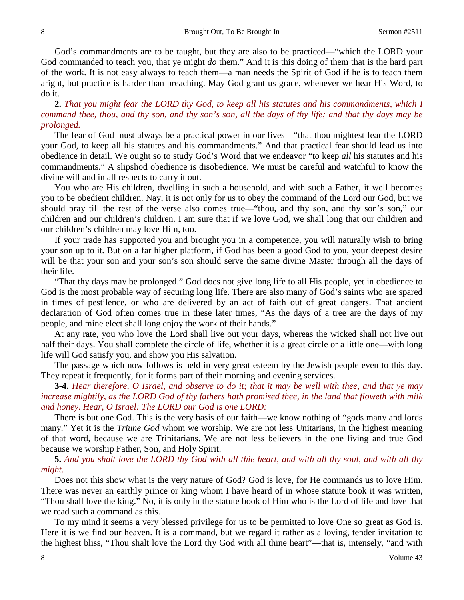God's commandments are to be taught, but they are also to be practiced—"which the LORD your God commanded to teach you, that ye might *do* them." And it is this doing of them that is the hard part of the work. It is not easy always to teach them—a man needs the Spirit of God if he is to teach them aright, but practice is harder than preaching. May God grant us grace, whenever we hear His Word, to do it.

# **2.** *That you might fear the LORD thy God, to keep all his statutes and his commandments, which I command thee, thou, and thy son, and thy son's son, all the days of thy life; and that thy days may be prolonged.*

The fear of God must always be a practical power in our lives—"that thou mightest fear the LORD your God, to keep all his statutes and his commandments." And that practical fear should lead us into obedience in detail. We ought so to study God's Word that we endeavor "to keep *all* his statutes and his commandments." A slipshod obedience is disobedience. We must be careful and watchful to know the divine will and in all respects to carry it out.

You who are His children, dwelling in such a household, and with such a Father, it well becomes you to be obedient children. Nay, it is not only for us to obey the command of the Lord our God, but we should pray till the rest of the verse also comes true—"thou, and thy son, and thy son's son," our children and our children's children. I am sure that if we love God, we shall long that our children and our children's children may love Him, too.

If your trade has supported you and brought you in a competence, you will naturally wish to bring your son up to it. But on a far higher platform, if God has been a good God to you, your deepest desire will be that your son and your son's son should serve the same divine Master through all the days of their life.

"That thy days may be prolonged." God does not give long life to all His people, yet in obedience to God is the most probable way of securing long life. There are also many of God's saints who are spared in times of pestilence, or who are delivered by an act of faith out of great dangers. That ancient declaration of God often comes true in these later times, "As the days of a tree are the days of my people, and mine elect shall long enjoy the work of their hands."

At any rate, you who love the Lord shall live out your days, whereas the wicked shall not live out half their days. You shall complete the circle of life, whether it is a great circle or a little one—with long life will God satisfy you, and show you His salvation.

The passage which now follows is held in very great esteem by the Jewish people even to this day. They repeat it frequently, for it forms part of their morning and evening services.

**3-4.** *Hear therefore, O Israel, and observe to do it; that it may be well with thee, and that ye may increase mightily, as the LORD God of thy fathers hath promised thee, in the land that floweth with milk and honey. Hear, O Israel: The LORD our God is one LORD:*

There is but one God. This is the very basis of our faith—we know nothing of "gods many and lords many." Yet it is the *Triune God* whom we worship. We are not less Unitarians, in the highest meaning of that word, because we are Trinitarians. We are not less believers in the one living and true God because we worship Father, Son, and Holy Spirit.

**5.** *And you shalt love the LORD thy God with all thie heart, and with all thy soul, and with all thy might.*

Does not this show what is the very nature of God? God is love, for He commands us to love Him. There was never an earthly prince or king whom I have heard of in whose statute book it was written, "Thou shall love the king." No, it is only in the statute book of Him who is the Lord of life and love that we read such a command as this.

To my mind it seems a very blessed privilege for us to be permitted to love One so great as God is. Here it is we find our heaven. It is a command, but we regard it rather as a loving, tender invitation to the highest bliss, "Thou shalt love the Lord thy God with all thine heart"—that is, intensely, "and with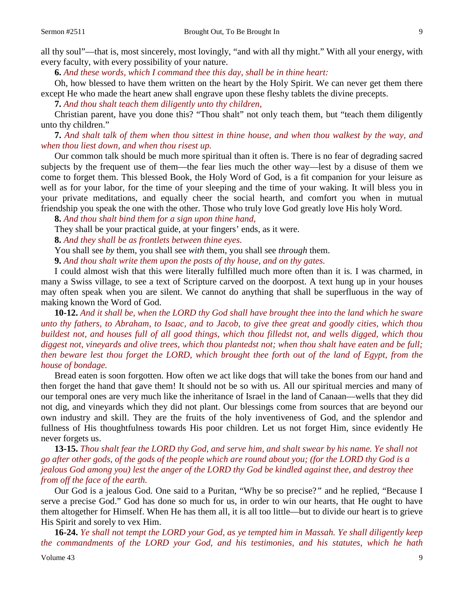all thy soul"—that is, most sincerely, most lovingly, "and with all thy might." With all your energy, with every faculty, with every possibility of your nature.

**6.** *And these words, which I command thee this day, shall be in thine heart:*

Oh, how blessed to have them written on the heart by the Holy Spirit. We can never get them there except He who made the heart anew shall engrave upon these fleshy tablets the divine precepts.

**7.** *And thou shalt teach them diligently unto thy children,*

Christian parent, have you done this? "Thou shalt" not only teach them, but "teach them diligently unto thy children."

**7.** *And shalt talk of them when thou sittest in thine house, and when thou walkest by the way, and when thou liest down, and when thou risest up.* 

Our common talk should be much more spiritual than it often is. There is no fear of degrading sacred subjects by the frequent use of them—the fear lies much the other way—lest by a disuse of them we come to forget them. This blessed Book, the Holy Word of God, is a fit companion for your leisure as well as for your labor, for the time of your sleeping and the time of your waking. It will bless you in your private meditations, and equally cheer the social hearth, and comfort you when in mutual friendship you speak the one with the other. Those who truly love God greatly love His holy Word.

**8.** *And thou shalt bind them for a sign upon thine hand,*

They shall be your practical guide, at your fingers' ends, as it were.

**8.** *And they shall be as frontlets between thine eyes.*

You shall see *by* them, you shall see *with* them, you shall see *through* them.

**9.** *And thou shalt write them upon the posts of thy house, and on thy gates.* 

I could almost wish that this were literally fulfilled much more often than it is. I was charmed, in many a Swiss village, to see a text of Scripture carved on the doorpost. A text hung up in your houses may often speak when you are silent. We cannot do anything that shall be superfluous in the way of making known the Word of God.

**10-12.** *And it shall be, when the LORD thy God shall have brought thee into the land which he sware unto thy fathers, to Abraham, to Isaac, and to Jacob, to give thee great and goodly cities, which thou buildest not, and houses full of all good things, which thou filledst not, and wells digged, which thou diggest not, vineyards and olive trees, which thou plantedst not; when thou shalt have eaten and be full; then beware lest thou forget the LORD, which brought thee forth out of the land of Egypt, from the house of bondage.*

Bread eaten is soon forgotten. How often we act like dogs that will take the bones from our hand and then forget the hand that gave them! It should not be so with us. All our spiritual mercies and many of our temporal ones are very much like the inheritance of Israel in the land of Canaan—wells that they did not dig, and vineyards which they did not plant. Our blessings come from sources that are beyond our own industry and skill. They are the fruits of the holy inventiveness of God, and the splendor and fullness of His thoughtfulness towards His poor children. Let us not forget Him, since evidently He never forgets us.

**13-15.** *Thou shalt fear the LORD thy God, and serve him, and shalt swear by his name. Ye shall not go after other gods, of the gods of the people which are round about you; (for the LORD thy God is a jealous God among you) lest the anger of the LORD thy God be kindled against thee, and destroy thee from off the face of the earth.*

Our God is a jealous God. One said to a Puritan, "Why be so precise?*"* and he replied, "Because I serve a precise God." God has done so much for us, in order to win our hearts, that He ought to have them altogether for Himself. When He has them all, it is all too little—but to divide our heart is to grieve His Spirit and sorely to vex Him.

**16-24.** *Ye shall not tempt the LORD your God, as ye tempted him in Massah. Ye shall diligently keep the commandments of the LORD your God, and his testimonies, and his statutes, which he hath*